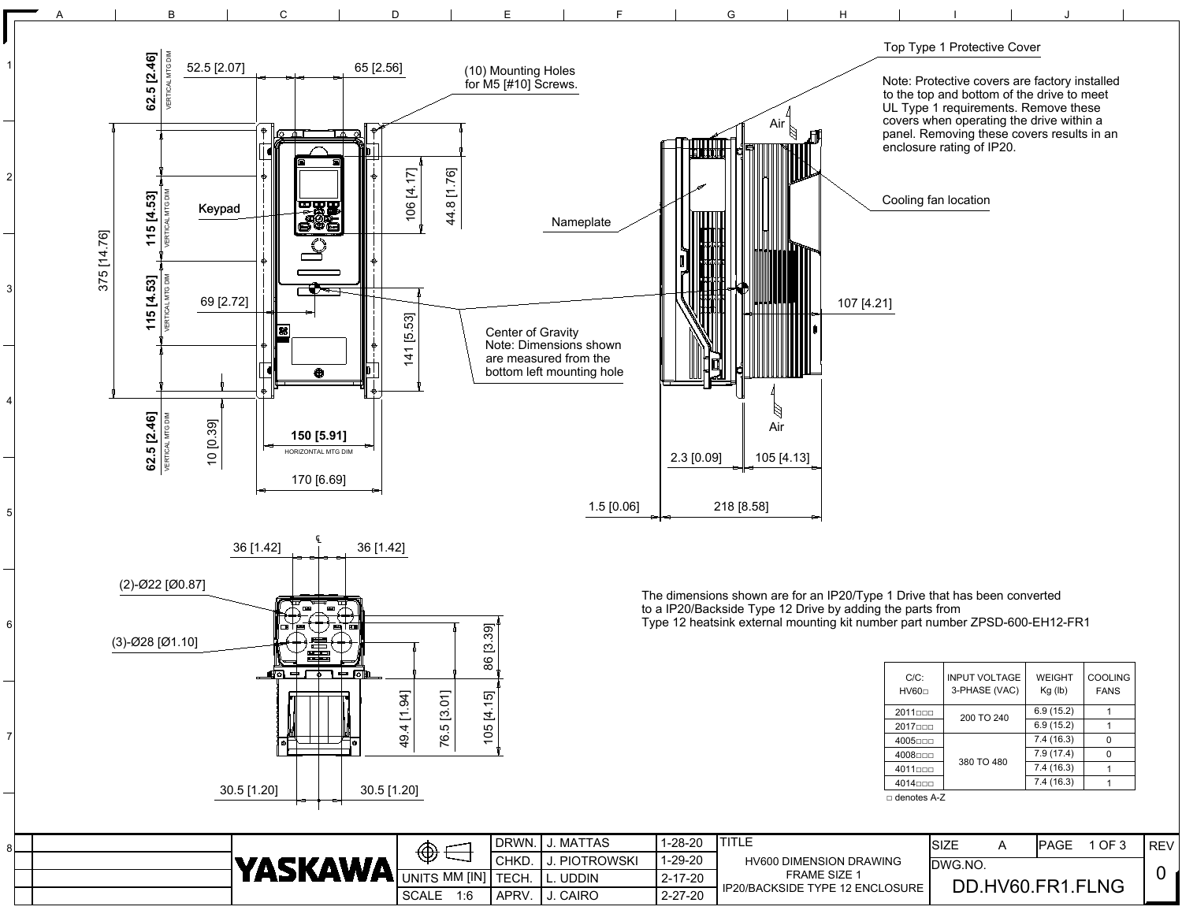

|  | YASKAWA | $\bigoplus$                   | DRWN.       | <b>MATTAS</b>     | $1 - 28 - 20$ | <b>HV600 DIMENSION DRAWING</b>    | <b>ISIZE</b>     |  | IPAGE | $\overline{1}$ OF $\overline{?}$ | ' REV |
|--|---------|-------------------------------|-------------|-------------------|---------------|-----------------------------------|------------------|--|-------|----------------------------------|-------|
|  |         |                               | <b>CHKD</b> | <b>PIOTROWSKI</b> | $1 - 29 - 20$ |                                   | DWG.NO           |  |       |                                  |       |
|  |         |                               |             | UDDIN             | $2 - 17 - 20$ | <b>FRAME SIZE 1</b>               | DD.HV60.FR1.FLNG |  |       |                                  |       |
|  |         | <b>SCALE</b><br>1: $\epsilon$ | APRV.       | CAIRO             | $2 - 27 - 20$ | IP20/BACKSIDE TYPE 12 ENCLOSURE ' |                  |  |       |                                  |       |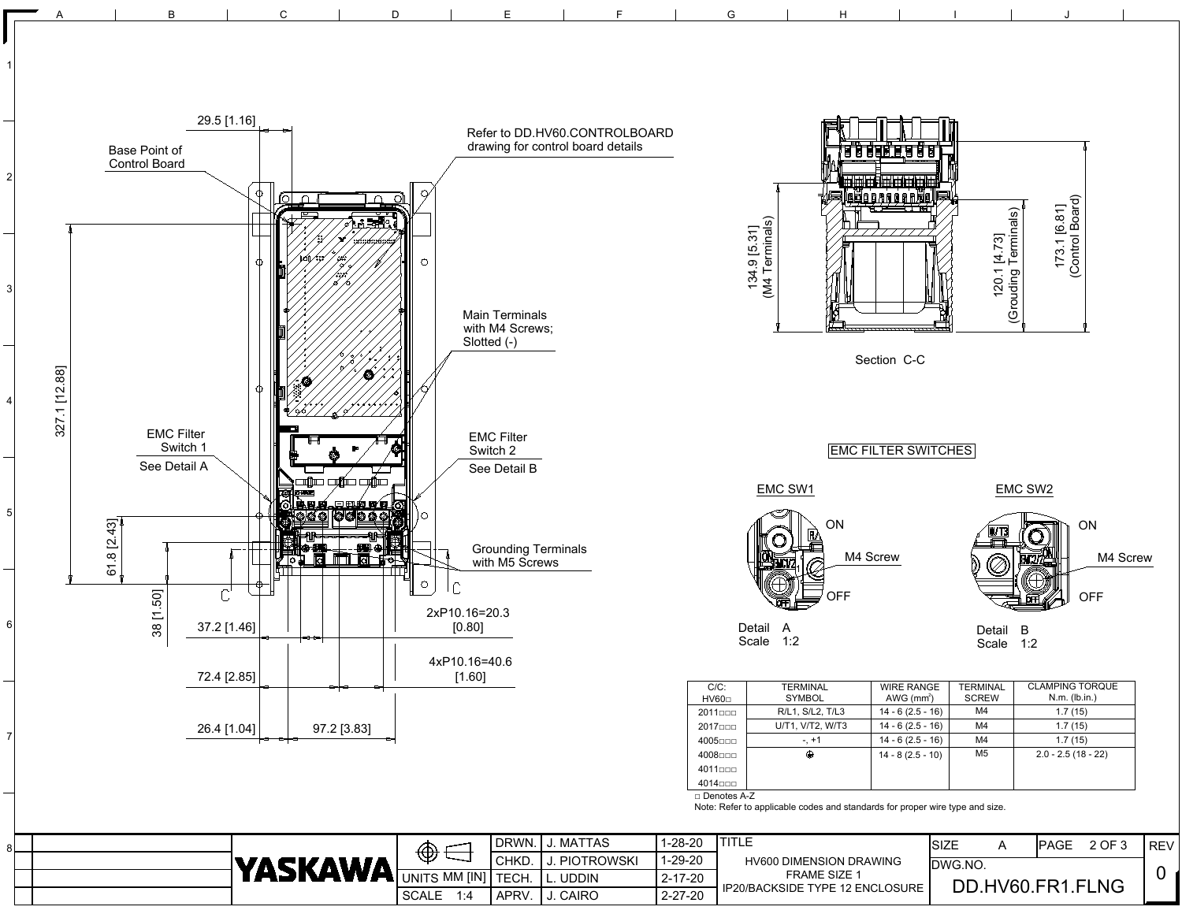